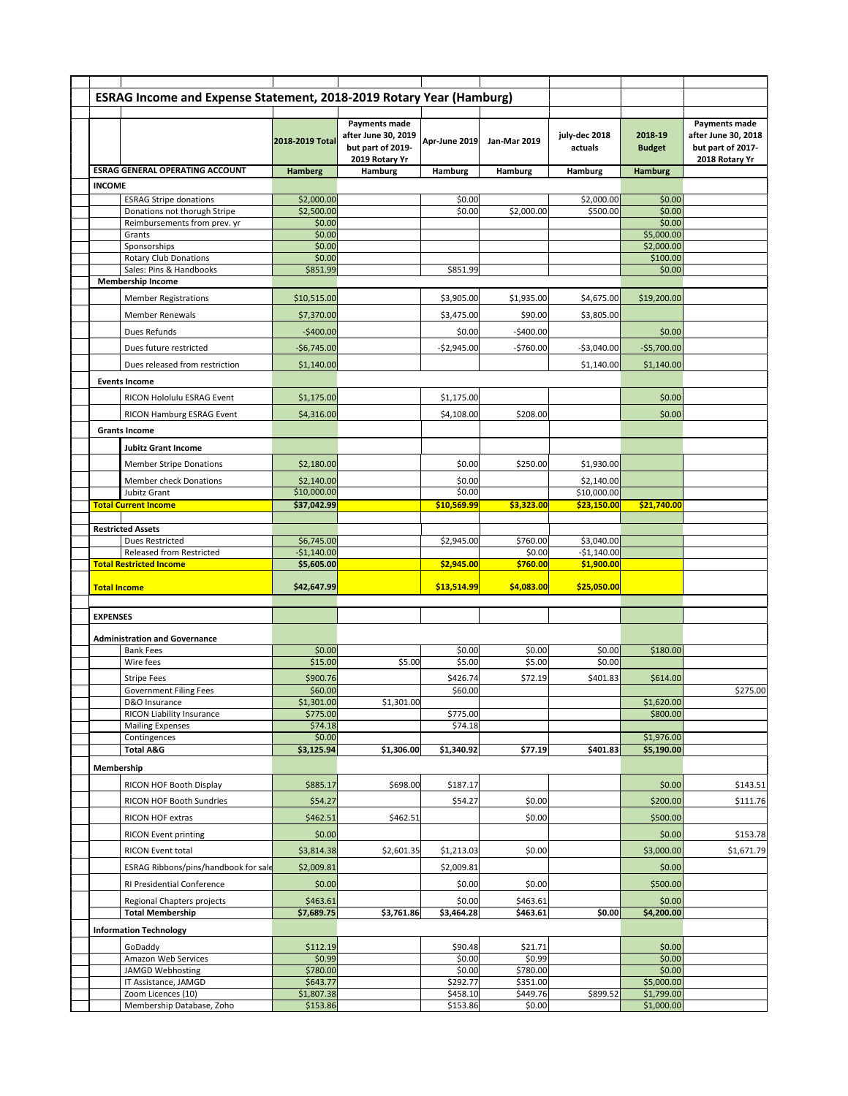|                 | ESRAG Income and Expense Statement, 2018-2019 Rotary Year (Hamburg) |                        |                                                                             |                      |                      |                          |                          |                                                                                    |
|-----------------|---------------------------------------------------------------------|------------------------|-----------------------------------------------------------------------------|----------------------|----------------------|--------------------------|--------------------------|------------------------------------------------------------------------------------|
|                 |                                                                     | 2018-2019 Total        | Payments made<br>after June 30, 2019<br>but part of 2019-<br>2019 Rotary Yr | Apr-June 2019        | <b>Jan-Mar 2019</b>  | july-dec 2018<br>actuals | 2018-19<br><b>Budget</b> | <b>Payments made</b><br>after June 30, 2018<br>but part of 2017-<br>2018 Rotary Yr |
|                 | <b>ESRAG GENERAL OPERATING ACCOUNT</b>                              | <b>Hamberg</b>         | Hamburg                                                                     | Hamburg              | <b>Hamburg</b>       | Hamburg                  | <b>Hamburg</b>           |                                                                                    |
| <b>INCOME</b>   | <b>ESRAG Stripe donations</b>                                       | \$2,000.00             |                                                                             | \$0.00               |                      | \$2,000.00               | \$0.00                   |                                                                                    |
|                 | Donations not thorugh Stripe                                        | \$2,500.00             |                                                                             | \$0.00               | \$2,000.00           | \$500.00                 | \$0.00                   |                                                                                    |
|                 | Reimbursements from prev. yr                                        | \$0.00                 |                                                                             |                      |                      |                          | \$0.00                   |                                                                                    |
|                 | Grants<br>Sponsorships                                              | \$0.00<br>\$0.00       |                                                                             |                      |                      |                          | \$5,000.00<br>\$2,000.00 |                                                                                    |
|                 | <b>Rotary Club Donations</b>                                        | \$0.00                 |                                                                             |                      |                      |                          | \$100.00                 |                                                                                    |
|                 | Sales: Pins & Handbooks                                             | \$851.99               |                                                                             | \$851.99             |                      |                          | \$0.00                   |                                                                                    |
|                 | <b>Membership Income</b>                                            |                        |                                                                             |                      |                      |                          |                          |                                                                                    |
|                 | <b>Member Registrations</b>                                         | \$10,515.00            |                                                                             | \$3,905.00           | \$1,935.00           | \$4,675.00               | \$19,200.00              |                                                                                    |
|                 | <b>Member Renewals</b>                                              | \$7,370.00             |                                                                             | \$3,475.00           | \$90.00              | \$3,805.00               |                          |                                                                                    |
|                 | Dues Refunds                                                        | $-$400.00$             |                                                                             | \$0.00               | $-$400.00$           |                          | \$0.00                   |                                                                                    |
|                 | Dues future restricted                                              | $-$6,745.00$           |                                                                             | $-$2,945.00$         | $-5760.00$           | $-$3,040.00$             | $-$5,700.00$             |                                                                                    |
|                 | Dues released from restriction                                      | \$1,140.00             |                                                                             |                      |                      | \$1,140.00               | \$1,140.00               |                                                                                    |
|                 | <b>Events Income</b>                                                |                        |                                                                             |                      |                      |                          |                          |                                                                                    |
|                 | RICON Hololulu ESRAG Event                                          | \$1,175.00             |                                                                             | \$1,175.00           |                      |                          | \$0.00                   |                                                                                    |
|                 | RICON Hamburg ESRAG Event                                           | \$4,316.00             |                                                                             | \$4,108.00           | \$208.00             |                          | \$0.00                   |                                                                                    |
|                 | <b>Grants Income</b>                                                |                        |                                                                             |                      |                      |                          |                          |                                                                                    |
|                 | <b>Jubitz Grant Income</b>                                          |                        |                                                                             |                      |                      |                          |                          |                                                                                    |
|                 | <b>Member Stripe Donations</b>                                      | \$2,180.00             |                                                                             | \$0.00               | \$250.00             | \$1,930.00               |                          |                                                                                    |
|                 | Member check Donations                                              | \$2,140.00             |                                                                             | \$0.00               |                      | \$2,140.00               |                          |                                                                                    |
|                 | Jubitz Grant                                                        | \$10,000.00            |                                                                             | \$0.00               |                      | \$10,000.00              |                          |                                                                                    |
|                 | <b>Total Current Income</b>                                         | \$37,042.99            |                                                                             | \$10,569.99          | \$3,323.00           | \$23,150.00              | \$21,740.00              |                                                                                    |
|                 | <b>Restricted Assets</b>                                            |                        |                                                                             |                      |                      |                          |                          |                                                                                    |
|                 | Dues Restricted                                                     | \$6,745.00             |                                                                             | \$2,945.00           | \$760.00             | \$3,040.00               |                          |                                                                                    |
|                 | Released from Restricted                                            | $-$1,140.00$           |                                                                             |                      | \$0.00               | $-$1,140.00$             |                          |                                                                                    |
|                 | <b>Total Restricted Income</b>                                      | \$5,605.00             |                                                                             | \$2,945.00           | \$760.00             | \$1,900.00               |                          |                                                                                    |
|                 | <b>Total Income</b>                                                 | \$42,647.99            |                                                                             | \$13,514.99          | \$4,083.00           | \$25,050.00              |                          |                                                                                    |
|                 |                                                                     |                        |                                                                             |                      |                      |                          |                          |                                                                                    |
| <b>EXPENSES</b> |                                                                     |                        |                                                                             |                      |                      |                          |                          |                                                                                    |
|                 | <b>Administration and Governance</b>                                |                        |                                                                             |                      |                      |                          |                          |                                                                                    |
|                 | <b>Bank Fees</b><br>Wire fees                                       | \$0.00<br>\$15.00      | \$5.00                                                                      | \$0.00<br>\$5.00     | \$0.00<br>\$5.00     | \$0.00<br>\$0.00         | \$180.00                 |                                                                                    |
|                 | <b>Stripe Fees</b>                                                  | \$900.76               |                                                                             | \$426.74             | \$72.19              | \$401.83                 | \$614.00                 |                                                                                    |
|                 | <b>Government Filing Fees</b>                                       | \$60.00                |                                                                             | \$60.00              |                      |                          |                          | \$275.00                                                                           |
|                 | D&O Insurance                                                       | \$1,301.00             | \$1,301.00                                                                  |                      |                      |                          | \$1,620.00               |                                                                                    |
|                 | RICON Liability Insurance                                           | \$775.00               |                                                                             | \$775.00<br>\$74.18  |                      |                          | \$800.00                 |                                                                                    |
|                 | <b>Mailing Expenses</b><br>Contingences                             | \$74.18<br>\$0.00      |                                                                             |                      |                      |                          | \$1,976.00               |                                                                                    |
|                 | <b>Total A&amp;G</b>                                                | \$3,125.94             | \$1,306.00                                                                  | \$1,340.92           | \$77.19              | \$401.83                 | \$5,190.00               |                                                                                    |
| Membership      |                                                                     |                        |                                                                             |                      |                      |                          |                          |                                                                                    |
|                 | RICON HOF Booth Display                                             | \$885.17               | \$698.00                                                                    | \$187.17             |                      |                          | \$0.00                   | \$143.51                                                                           |
|                 | RICON HOF Booth Sundries                                            | \$54.27                |                                                                             | \$54.27              | \$0.00               |                          | \$200.00                 | \$111.76                                                                           |
|                 | RICON HOF extras                                                    | \$462.51               | \$462.51                                                                    |                      | \$0.00               |                          | \$500.00                 |                                                                                    |
|                 | <b>RICON Event printing</b>                                         | \$0.00                 |                                                                             |                      |                      |                          | \$0.00                   | \$153.78                                                                           |
|                 | RICON Event total                                                   | \$3,814.38             | \$2,601.35                                                                  | \$1,213.03           | \$0.00               |                          | \$3,000.00               | \$1,671.79                                                                         |
|                 |                                                                     |                        |                                                                             |                      |                      |                          |                          |                                                                                    |
|                 | ESRAG Ribbons/pins/handbook for sale                                | \$2,009.81             |                                                                             | \$2,009.81           |                      |                          | \$0.00                   |                                                                                    |
|                 | RI Presidential Conference                                          | \$0.00                 |                                                                             | \$0.00               | \$0.00               |                          | \$500.00                 |                                                                                    |
|                 | Regional Chapters projects<br><b>Total Membership</b>               | \$463.61<br>\$7,689.75 | \$3,761.86                                                                  | \$0.00<br>\$3,464.28 | \$463.61<br>\$463.61 | \$0.00                   | \$0.00<br>\$4,200.00     |                                                                                    |
|                 | <b>Information Technology</b>                                       |                        |                                                                             |                      |                      |                          |                          |                                                                                    |
|                 | GoDaddy                                                             | \$112.19               |                                                                             | \$90.48              | \$21.71              |                          | \$0.00                   |                                                                                    |
|                 | Amazon Web Services                                                 | \$0.99                 |                                                                             | \$0.00               | \$0.99               |                          | \$0.00                   |                                                                                    |
|                 | JAMGD Webhosting                                                    | \$780.00               |                                                                             | \$0.00               | \$780.00             |                          | \$0.00                   |                                                                                    |
|                 | IT Assistance, JAMGD<br>Zoom Licences (10)                          | \$643.77<br>\$1,807.38 |                                                                             | \$292.77<br>\$458.10 | \$351.00<br>\$449.76 | \$899.52                 | \$5,000.00<br>\$1,799.00 |                                                                                    |
|                 | Membership Database, Zoho                                           | \$153.86               |                                                                             | \$153.86             | \$0.00               |                          | \$1,000.00               |                                                                                    |
|                 |                                                                     |                        |                                                                             |                      |                      |                          |                          |                                                                                    |